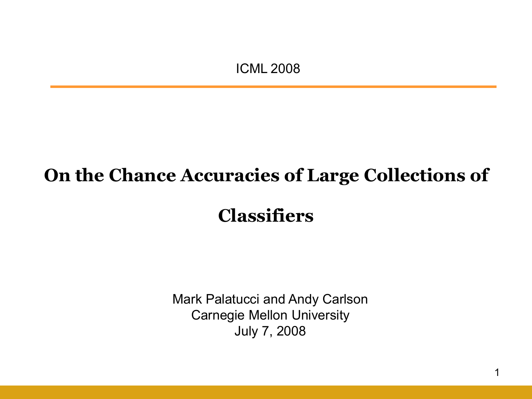ICML 2008

### **On the Chance Accuracies of Large Collections of**

**Classifiers**

Mark Palatucci and Andy Carlson Carnegie Mellon University July 7, 2008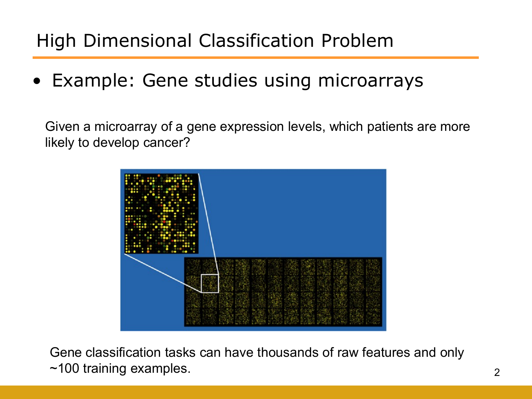# High Dimensional Classification Problem

• Example: Gene studies using microarrays

Given a microarray of a gene expression levels, which patients are more likely to develop cancer?



Gene classification tasks can have thousands of raw features and only ~100 training examples.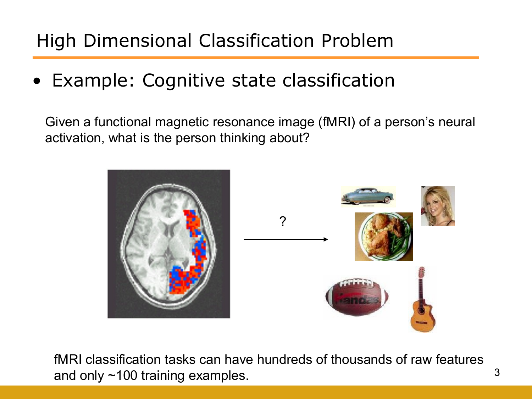# High Dimensional Classification Problem

### • Example: Cognitive state classification

Given a functional magnetic resonance image (fMRI) of a person"s neural activation, what is the person thinking about?



fMRI classification tasks can have hundreds of thousands of raw features and only ~100 training examples.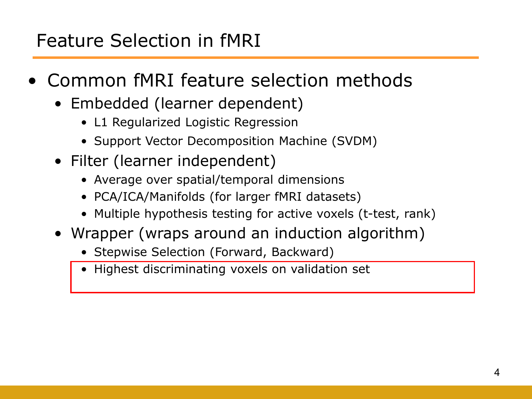## Feature Selection in fMRI

- Common fMRI feature selection methods
	- Embedded (learner dependent)
		- L1 Regularized Logistic Regression
		- Support Vector Decomposition Machine (SVDM)
	- Filter (learner independent)
		- Average over spatial/temporal dimensions
		- PCA/ICA/Manifolds (for larger fMRI datasets)
		- Multiple hypothesis testing for active voxels (t-test, rank)
	- Wrapper (wraps around an induction algorithm)
		- Stepwise Selection (Forward, Backward)
		- Highest discriminating voxels on validation set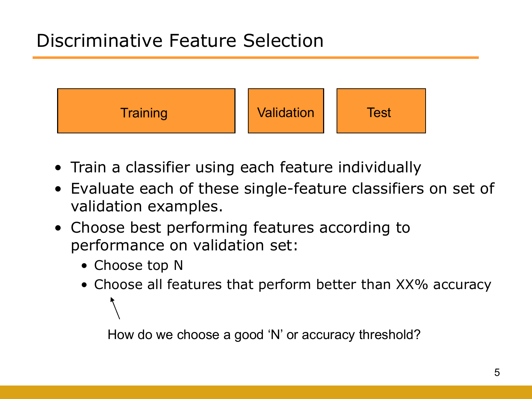## Discriminative Feature Selection



- Train a classifier using each feature individually
- Evaluate each of these single-feature classifiers on set of validation examples.
- Choose best performing features according to performance on validation set:
	- Choose top N
	- Choose all features that perform better than XX% accuracy

How do we choose a good "N" or accuracy threshold?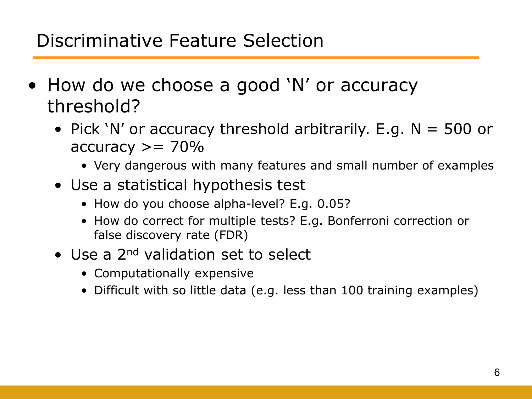### Discriminative Feature Selection

- How do we choose a good 'N' or accuracy threshold?
	- Pick 'N' or accuracy threshold arbitrarily. E.g.  $N = 500$  or  $accuracy >= 70\%$ 
		- Very dangerous with many features and small number of examples
	- Use a statistical hypothesis test
		- How do you choose alpha-level? E.g. 0.05?
		- How do correct for multiple tests? E.g. Bonferroni correction or false discovery rate (FDR)
	- Use a 2<sup>nd</sup> validation set to select
		- Computationally expensive
		- Difficult with so little data (e.g. less than 100 training examples)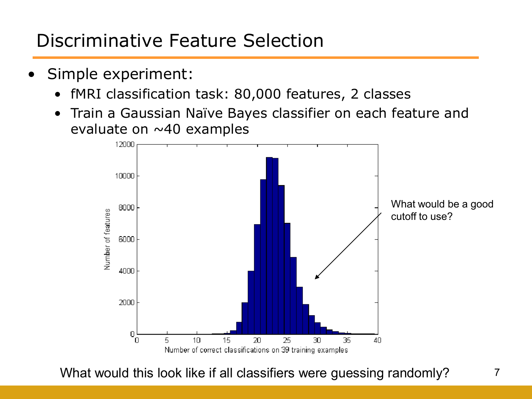# Discriminative Feature Selection

- Simple experiment:
	- fMRI classification task: 80,000 features, 2 classes
	- Train a Gaussian Naïve Bayes classifier on each feature and evaluate on  $\sim$  40 examples



What would this look like if all classifiers were guessing randomly?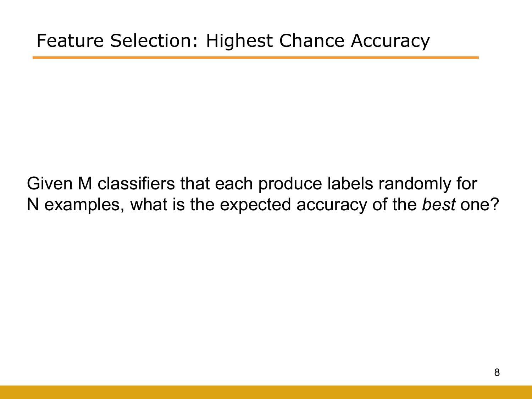Given M classifiers that each produce labels randomly for N examples, what is the expected accuracy of the *best* one?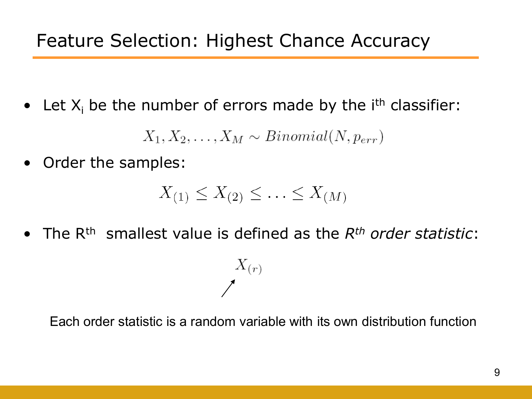• Let  $X_i$  be the number of errors made by the  $i<sup>th</sup>$  classifier:

 $X_1, X_2, \ldots, X_M \sim Binomial(N, p_{err})$ 

• Order the samples:

$$
X_{(1)} \le X_{(2)} \le \ldots \le X_{(M)}
$$

• The Rth smallest value is defined as the *Rth order statistic*:

 $\frac{X(r)}{2}$ 

Each order statistic is a random variable with its own distribution function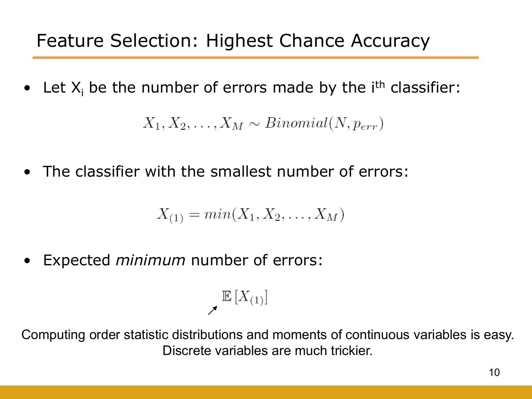• Let  $X_i$  be the number of errors made by the  $i<sup>th</sup>$  classifier:

 $X_1, X_2, \ldots, X_M \sim Binomial(N, p_{err})$ 

The classifier with the smallest number of errors:

$$
X_{(1)} = min(X_1, X_2, \dots, X_M)
$$

• Expected *minimum* number of errors:

$$
\mathbb{E}\left[X_{(1)}\right]
$$

Computing order statistic distributions and moments of continuous variables is easy. Discrete variables are much trickier.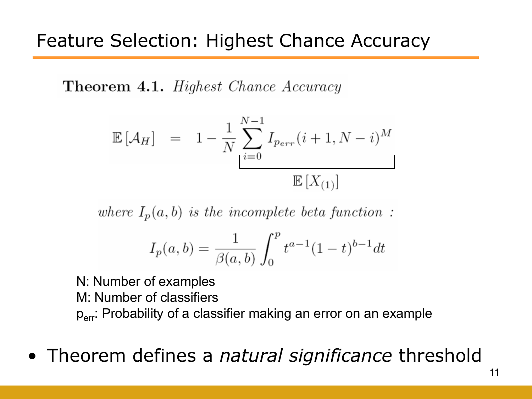**Theorem 4.1.** Highest Chance Accuracy

$$
\mathbb{E}\left[\mathcal{A}_H\right] = 1 - \frac{1}{N} \sum_{i=0}^{N-1} I_{Perr}(i+1, N-i)^M
$$

$$
\mathbb{E}\left[X_{(1)}\right]
$$

where  $I_p(a, b)$  is the incomplete beta function:

$$
I_p(a,b) = \frac{1}{\beta(a,b)} \int_0^p t^{a-1} (1-t)^{b-1} dt
$$

N: Number of examples M: Number of classifiers p<sub>err</sub>: Probability of a classifier making an error on an example

• Theorem defines a *natural significance* threshold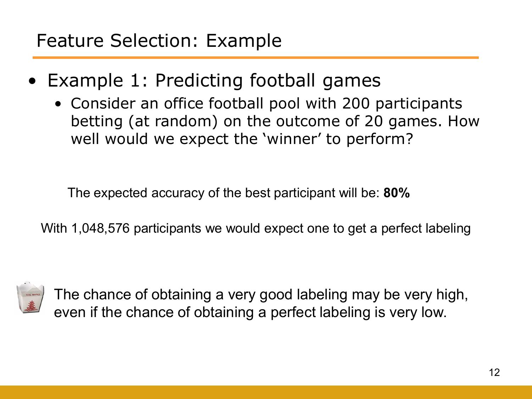- Example 1: Predicting football games
	- Consider an office football pool with 200 participants betting (at random) on the outcome of 20 games. How well would we expect the 'winner' to perform?

The expected accuracy of the best participant will be: **80%**

With 1,048,576 participants we would expect one to get a perfect labeling



The chance of obtaining a very good labeling may be very high, even if the chance of obtaining a perfect labeling is very low.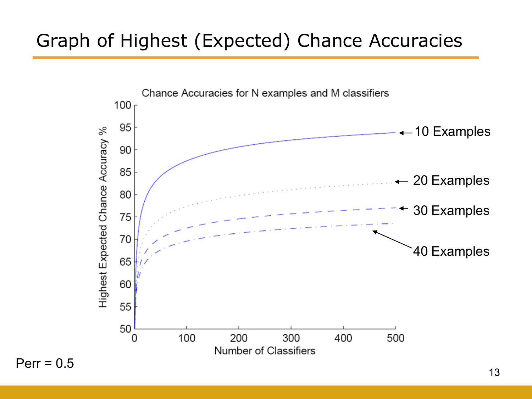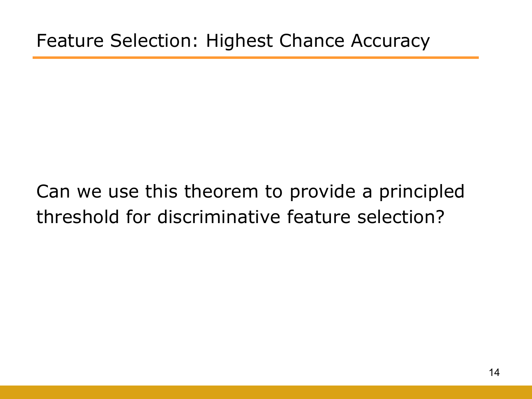# Can we use this theorem to provide a principled threshold for discriminative feature selection?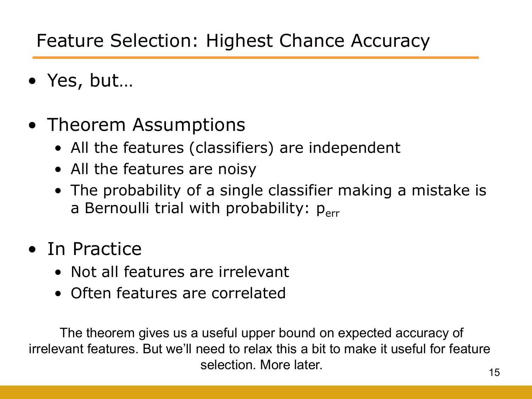# Feature Selection: Highest Chance Accuracy

- Yes, but…
- Theorem Assumptions
	- All the features (classifiers) are independent
	- All the features are noisy
	- The probability of a single classifier making a mistake is a Bernoulli trial with probability:  $p_{err}$
- In Practice
	- Not all features are irrelevant
	- Often features are correlated

The theorem gives us a useful upper bound on expected accuracy of irrelevant features. But we"ll need to relax this a bit to make it useful for feature selection. More later.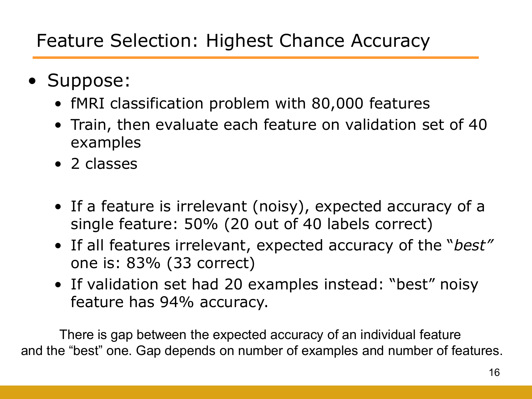- Suppose:
	- fMRI classification problem with 80,000 features
	- Train, then evaluate each feature on validation set of 40 examples
	- 2 classes
	- If a feature is irrelevant (noisy), expected accuracy of a single feature: 50% (20 out of 40 labels correct)
	- If all features irrelevant, expected accuracy of the "*best"* one is: 83% (33 correct)
	- If validation set had 20 examples instead: "best" noisy feature has 94% accuracy.

There is gap between the expected accuracy of an individual feature and the "best" one. Gap depends on number of examples and number of features.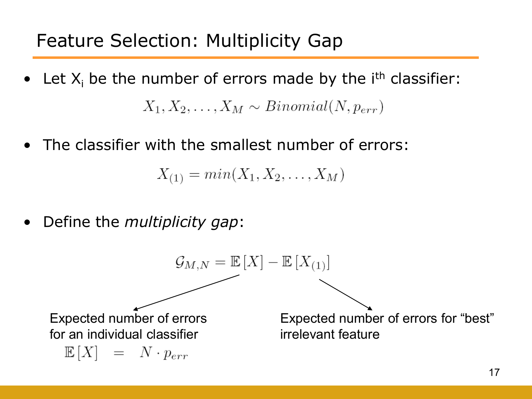- Let  $X_i$  be the number of errors made by the  $i<sup>th</sup>$  classifier:  $X_1, X_2, \ldots, X_M \sim Binomial(N, p_{err})$
- The classifier with the smallest number of errors:

 $X_{(1)} = min(X_1, X_2, \ldots, X_M)$ 

• Define the *multiplicity gap*:

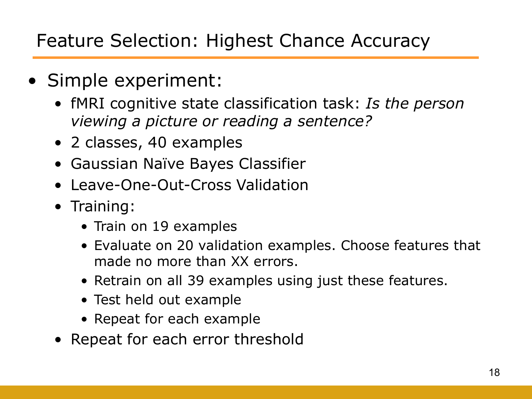### Feature Selection: Highest Chance Accuracy

- Simple experiment:
	- fMRI cognitive state classification task: *Is the person viewing a picture or reading a sentence?*
	- 2 classes, 40 examples
	- Gaussian Naïve Bayes Classifier
	- Leave-One-Out-Cross Validation
	- Training:
		- Train on 19 examples
		- Evaluate on 20 validation examples. Choose features that made no more than XX errors.
		- Retrain on all 39 examples using just these features.
		- Test held out example
		- Repeat for each example
	- Repeat for each error threshold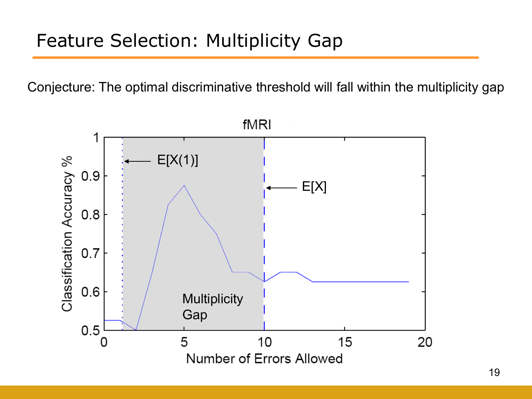Conjecture: The optimal discriminative threshold will fall within the multiplicity gap

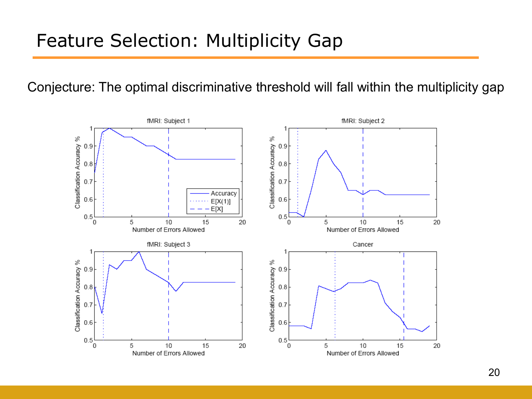### Feature Selection: Multiplicity Gap

Conjecture: The optimal discriminative threshold will fall within the multiplicity gap

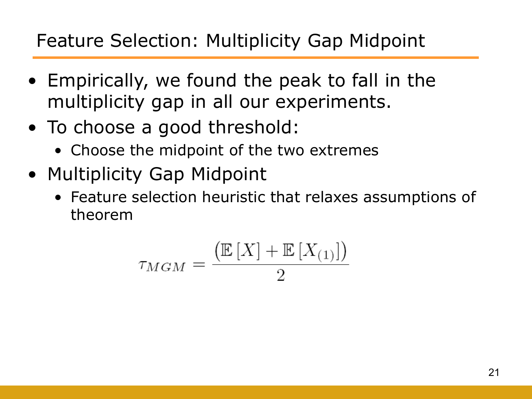# Feature Selection: Multiplicity Gap Midpoint

- Empirically, we found the peak to fall in the multiplicity gap in all our experiments.
- To choose a good threshold:
	- Choose the midpoint of the two extremes
- Multiplicity Gap Midpoint
	- Feature selection heuristic that relaxes assumptions of theorem

$$
\tau_{MGM} = \frac{\left(\mathbb{E}\left[X\right] + \mathbb{E}\left[X_{(1)}\right]\right)}{2}
$$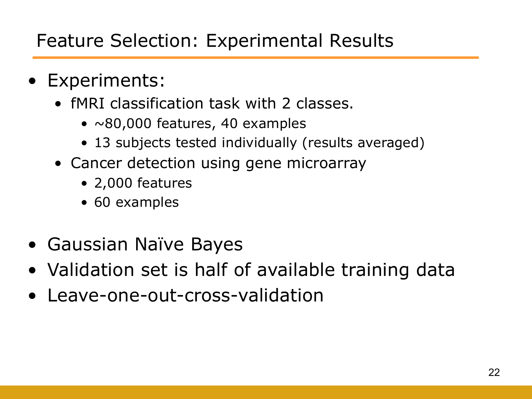- Experiments:
	- fMRI classification task with 2 classes.
		- $\sim$ 80,000 features, 40 examples
		- 13 subjects tested individually (results averaged)
	- Cancer detection using gene microarray
		- 2,000 features
		- 60 examples
- Gaussian Naïve Bayes
- Validation set is half of available training data
- Leave-one-out-cross-validation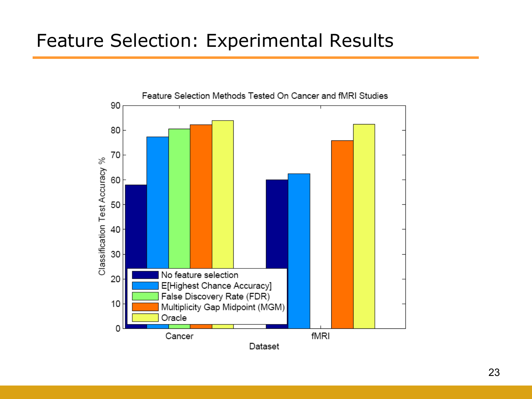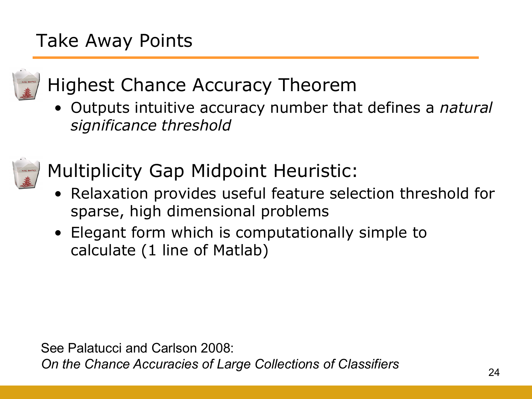# Take Away Points



# • Highest Chance Accuracy Theorem

• Outputs intuitive accuracy number that defines a *natural significance threshold*



- Multiplicity Gap Midpoint Heuristic:
	- Relaxation provides useful feature selection threshold for sparse, high dimensional problems
	- Elegant form which is computationally simple to calculate (1 line of Matlab)

See Palatucci and Carlson 2008:

*On the Chance Accuracies of Large Collections of Classifiers*